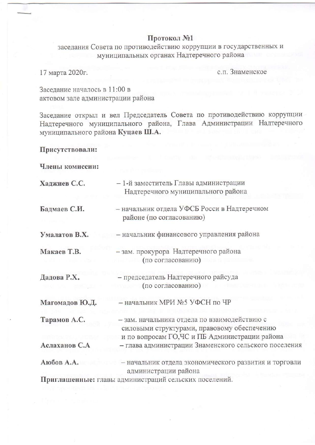# Протокол №1

заседания Совета по противодействию коррупции в государственных и муниципальных органах Надтеречного района

17 марта 2020г.

с.п. Знаменское

Заседание началось в 11:00 в актовом зале администрации района

Заседание открыл и вел Председатель Совета по противодействию коррупции Надтеречного муниципального района, Глава Администрации Надтеречного муниципального района Куцаев Ш.А.

## Присутствовали:

Члены комиссии:

| Хаджиев С.С.   | – 1-й заместитель Главы администрации<br>Надтеречного муниципального района                                                                   |
|----------------|-----------------------------------------------------------------------------------------------------------------------------------------------|
| Бадмаев С.И.   | - начальник отдела УФСБ Росси в Надтеречном<br>районе (по согласованию)                                                                       |
| Умалатов В.Х.  | - начальник финансового управления района                                                                                                     |
| Макаев Т.В.    | - зам. прокурора Надтеречного района<br>(по согласованию)                                                                                     |
| Дадова Р.Х.    | - председатель Надтеречного райсуда<br>(по согласованию)                                                                                      |
| Магомадов Ю.Д. | - начальник МРИ №5 УФСН по ЧР                                                                                                                 |
| Тарамов А.С.   | - зам. начальника отдела по взаимодействию с<br>силовыми структурами, правовому обеспечению<br>и по вопросам ГО, ЧС и ПБ Администрации района |
| Аслаханов С.А  | - глава администрации Знаменского сельского поселения                                                                                         |
| Аюбов А.А.     | - начальник отдела экономического развития и торговли<br>администрации района                                                                 |
|                | Приглашенные: главы администраций сельских поселений.                                                                                         |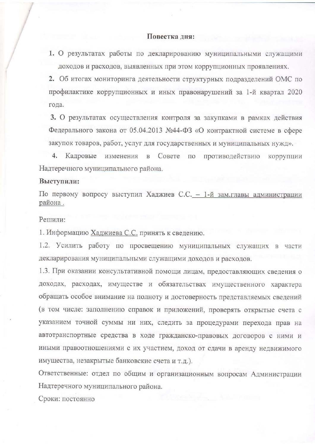### Повестка дня:

1. О результатах работы по декларированию муниципальными служащими доходов и расходов, выявленных при этом коррупционных проявлениях.

2. Об итогах мониторинга деятельности структурных подразделений ОМС по профилактике коррупционных и иных правонарушений за 1-й квартал 2020 года.

3. О результатах осуществления контроля за закупками в рамках действия Федерального закона от 05.04.2013 №44-ФЗ «О контрактной системе в сфере закупок товаров, работ, услуг для государственных и муниципальных нужд».

 $4.$ Кадровые Совете по противодействию коррупции изменения  $\, {\bf B}$ Надтеречного муниципального района.

#### Выступили:

По первому вопросу выступил Хаджиев С.С. - 1-й зам.главы администрации района.

#### Решили:

1. Информацию Хаджиева С.С. принять к сведению.

1.2. Усилить работу по просвещению муниципальных служащих в части декларирования муниципальными служащими доходов и расходов.

1.3. При оказании консультативной помощи лицам, предоставляющих сведения о доходах, расходах, имуществе и обязательствах имущественного характера обращать особое внимание на полноту и достоверность представляемых сведений (в том числе: заполнению справок и приложений, проверять открытые счета с указанием точной суммы ни них, следить за процедурами перехода прав на автотранспортные средства в ходе гражданско-правовых договоров с ними и иными правоотношениями с их участием, доход от сдачи в аренду недвижимого имущества, незакрытые банковские счета и т.д.).

Ответственные: отдел по общим и организационным вопросам Администрации Надтеречного муниципального района.

Сроки: постоянно